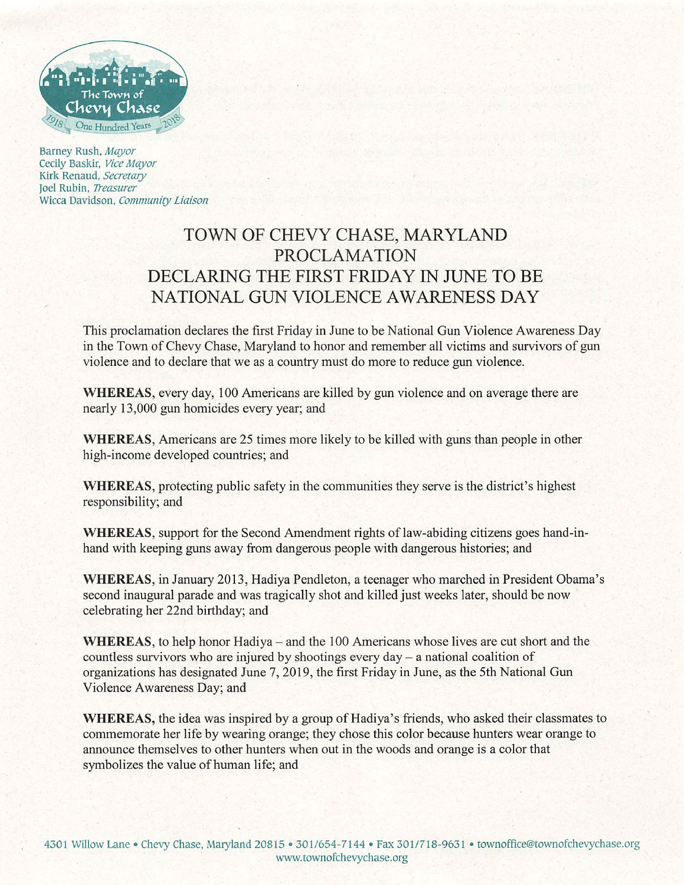

Barney Rush, Mayor Cecily Baskir, Vice Mayor Kirk Renaud, Secretary Joel Rubin, Treasurer Wicca Davidson, Community Liaison

## TOWN OF CHEVY CHASE, MARYLAND PROCLAMATION DECLARING THE FIRST FRIDAY IN JUNE TO BE NATIONAL GUN VIOLENCE AWARENESS DAY

This proclamation declares the first Friday in June to be National Gun Violence Awareness Day in the Town of Chevy Chase, Maryland to honor and remember all victims and survivors of gun violence and to declare that we as a country must do more to reduce gun violence.

WHEREAS, every day, 100 Americans are killed by gun violence and on average there are nearly 13,000 gun homicides every year; and

WHEREAS, Americans are 25 times more likely to be killed with guns than people in other high-income developed countries; and

WHEREAS, protecting public safety in the communities they serve is the district's highest responsibility; and

WHEREAS, support for the Second Amendment rights of law-abiding citizens goes hand-inhand with keeping guns away from dangerous people with dangerous histories; and

WHEREAS, in January 2013, Hadiya Pendleton, a teenager who marched in President Obama's second inaugural parade and was tragically shot and killed just weeks later, should be now celebrating her 22nd birthday; and

WHEREAS, to help honor Hadiya – and the 100 Americans whose lives are cut short and the countless survivors who are injured by shootings every day - a national coalition of organizations has designated June 7, 2019, the first Friday in June, as the 5th National Gun Violence Awareness Day; and

WHEREAS, the idea was inspired by a group of Hadiya's friends, who asked their classmates to commemorate her life by wearing orange; they chose this color because hunters wear orange to announce themselves to other hunters when out in the woods and orange is a color that symbolizes the value of human life; and